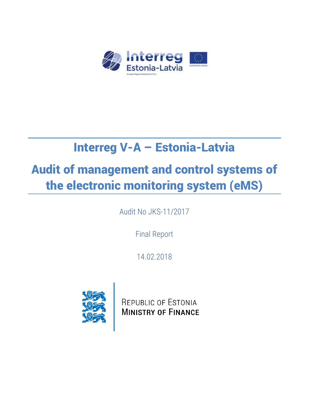

# Interreg V-A – Estonia-Latvia

# Audit of management and control systems of the electronic monitoring system (eMS)

Audit No JKS-11/2017

Final Report

14.02.2018



REPUBLIC OF ESTONIA **MINISTRY OF FINANCE**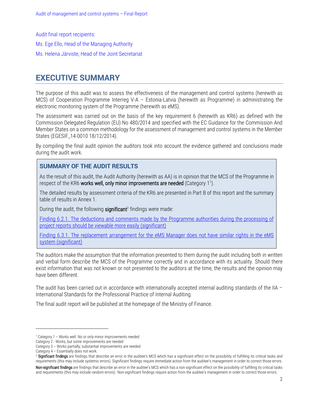Audit final report recipients: Ms. Ege Ello, Head of the Managing Authority Ms. Helena Järviste, Head of the Joint Secretariat

# <span id="page-1-0"></span>**EXECUTIVE SUMMARY**

The purpose of this audit was to assess the effectiveness of the management and control systems (herewith as MCS) of Cooperation Programme Interreg V-A – Estonia-Latvia (herewith as Programme) in administrating the electronic monitoring system of the Programme (herewith as eMS).

The assessment was carried out on the basis of the key requirement 6 (herewith as KR6) as defined with the Commission Delegated Regulation (EU) No 480/2014 and specified with the EC Guidance for the Commission And Member States on a common methodology for the assessment of management and control systems in the Member States (EGESIF\_14-0010 18/12/2014).

By compiling the final audit opinion the auditors took into account the evidence gathered and conclusions made during the audit work.

### **SUMMARY OF THE AUDIT RESULTS**

As the result of this audit, the Audit Authority (herewith as AA) is in opinion that the MCS of the Programme in respect of the KR6 works well, only minor improvements are needed (Category 1<sup>1</sup>).

The detailed results by assessment criteria of the KR6 are presented in Part B of this report and the summary table of results in Annex 1.

During the audit, the following significant<sup>2</sup> findings were made:

[Finding 6.2.1. The deductions and comments made by the Programme authorities during the processing of](#page-6-0)  [project reports should be viewable more easily \(significant\)](#page-6-0)

Finding 6.3.1. The replacement arrangement for the eMS Manager does not have similar rights in the eMS [system \(significant\)](#page-9-0)

The auditors make the assumption that the information presented to them during the audit including both in written and verbal form describe the MCS of the Programme correctly and in accordance with its actuality. Should there exist information that was not known or not presented to the auditors at the time, the results and the opinion may have been different.

The audit has been carried out in accordance with internationally accepted internal auditing standards of the IIA – International Standards for the Professional Practice of Internal Auditing.

The final audit report will be published at the homepage of the Ministry of Finance.

 $\overline{a}$ 

<sup>1</sup> Category 1 – Works well. No or only minor improvements needed

Category 2 - Works, but some improvements are needed

Category 3 – Works partially; substantial improvements are needed

Category 4 – Essentially does not work.

<sup>&</sup>lt;sup>2</sup> Significant findings are findings that describe an error in the auditee's MCS which has a significant effect on the possibility of fulfilling its critical tasks and requirements (this may include systemic errors). Significant findings require immediate action from the auditee's management in order to correct those errors.

Non-significant findings are findings that describe an error in the auditee's MCS which has a non-significant effect on the possibility of fulfilling its critical tasks and requirements (this may include random errors). Non-significant findings require action from the auditee's management in order to correct those errors.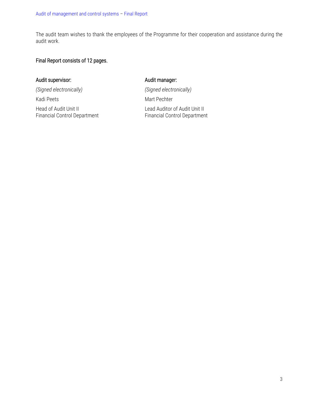The audit team wishes to thank the employees of the Programme for their cooperation and assistance during the audit work.

#### Final Report consists of 12 pages.

#### Audit supervisor: and the state of the Audit manager:

*(Signed electronically) (Signed electronically)*

Kadi Peets Mart Pechter

Financial Control Department

Head of Audit Unit II Lead Auditor of Audit Unit II Lead Auditor of Audit Unit II<br>Financial Control Department Financial Control Department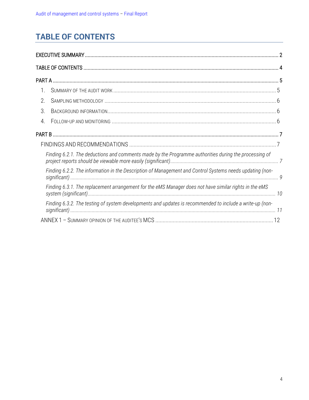# <span id="page-3-0"></span>**TABLE OF CONTENTS**

| 1. |                                                                                                          |  |
|----|----------------------------------------------------------------------------------------------------------|--|
| 2. |                                                                                                          |  |
| 3. |                                                                                                          |  |
| 4. |                                                                                                          |  |
|    |                                                                                                          |  |
|    |                                                                                                          |  |
|    | Finding 6.2.1. The deductions and comments made by the Programme authorities during the processing of    |  |
|    | Finding 6.2.2. The information in the Description of Management and Control Systems needs updating (non- |  |
|    | Finding 6.3.1. The replacement arrangement for the eMS Manager does not have similar rights in the eMS   |  |
|    | Finding 6.3.2. The testing of system developments and updates is recommended to include a write-up (non- |  |
|    |                                                                                                          |  |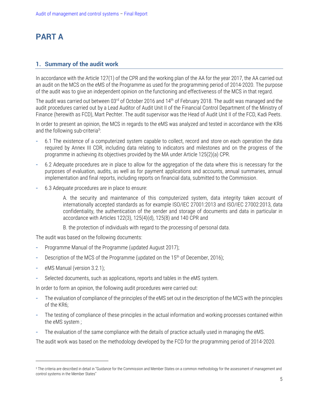# <span id="page-4-0"></span>**PART A**

#### <span id="page-4-1"></span>**1. Summary of the audit work**

In accordance with the Article 127(1) of the CPR and the working plan of the AA for the year 2017, the AA carried out an audit on the MCS on the eMS of the Programme as used for the programming period of 2014-2020. The purpose of the audit was to give an independent opinion on the functioning and effectiveness of the MCS in that regard.

The audit was carried out between 03<sup>rd</sup> of October 2016 and 14<sup>th</sup> of February 2018. The audit was managed and the audit procedures carried out by a Lead Auditor of Audit Unit II of the Financial Control Department of the Ministry of Finance (herewith as FCD), Mart Pechter. The audit supervisor was the Head of Audit Unit II of the FCD, Kadi Peets.

In order to present an opinion, the MCS in regards to the eMS was analyzed and tested in accordance with the KR6 and the following sub-criteria<sup>3</sup>:

- **-** 6.1 The existence of a computerized system capable to collect, record and store on each operation the data required by Annex III CDR, including data relating to indicators and milestones and on the progress of the programme in achieving its objectives provided by the MA under Article 125(2)(a) CPR.
- **-** 6.2 Adequate procedures are in place to allow for the aggregation of the data where this is necessary for the purposes of evaluation, audits, as well as for payment applications and accounts, annual summaries, annual implementation and final reports, including reports on financial data, submitted to the Commission.
- **-** 6.3 Adequate procedures are in place to ensure:

A. the security and maintenance of this computerized system, data integrity taken account of internationally accepted standards as for example ISO/IEC 27001:2013 and ISO/IEC 27002:2013, data confidentiality, the authentication of the sender and storage of documents and data in particular in accordance with Articles 122(3), 125(4)(d), 125(8) and 140 CPR and

B. the protection of individuals with regard to the processing of personal data.

The audit was based on the following documents:

- **-** Programme Manual of the Programme (updated August 2017);
- Description of the MCS of the Programme (updated on the 15<sup>th</sup> of December, 2016);
- **-** eMS Manual (version 3.2.1);

l

**-** Selected documents, such as applications, reports and tables in the eMS system.

In order to form an opinion, the following audit procedures were carried out:

- **-** The evaluation of compliance of the principles of the eMS set out in the description of the MCS with the principles of the KR6;
- **-** The testing of compliance of these principles in the actual information and working processes contained within the eMS system ;
- **-** The evaluation of the same compliance with the details of practice actually used in managing the eMS.

The audit work was based on the methodology developed by the FCD for the programming period of 2014-2020.

<sup>&</sup>lt;sup>3</sup> The criteria are described in detail in "Guidance for the Commission and Member States on a common methodology for the assessment of management and control systems in the Member States"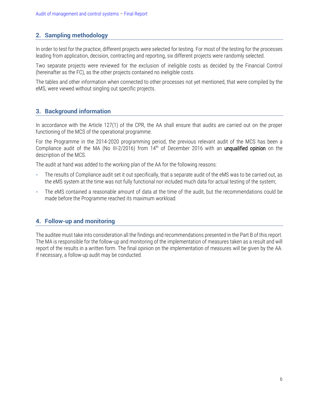#### <span id="page-5-0"></span>**2. Sampling methodology**

In order to test for the practice, different projects were selected for testing. For most of the testing for the processes leading from application, decision, contracting and reporting, six different projects were randomly selected.

Two separate projects were reviewed for the exclusion of ineligible costs as decided by the Financial Control (hereinafter as the FC), as the other projects contained no ineligible costs.

The tables and other information when connected to other processes not yet mentioned, that were compiled by the eMS, were viewed without singling out specific projects.

#### <span id="page-5-1"></span>**3. Background information**

In accordance with the Article 127(1) of the CPR, the AA shall ensure that audits are carried out on the proper functioning of the MCS of the operational programme.

For the Programme in the 2014-2020 programming period, the previous relevant audit of the MCS has been a Compliance audit of the MA (No III-2/2016) from 14<sup>th</sup> of December 2016 with an unqualified opinion on the description of the MCS.

The audit at hand was added to the working plan of the AA for the following reasons:

- **-** The results of Compliance audit set it out specifically, that a separate audit of the eMS was to be carried out, as the eMS system at the time was not fully functional nor included much data for actual testing of the system;
- **-** The eMS contained a reasonable amount of data at the time of the audit, but the recommendations could be made before the Programme reached its maximum workload.

#### <span id="page-5-2"></span>**4. Follow-up and monitoring**

The auditee must take into consideration all the findings and recommendations presented in the Part B of this report. The MA is responsible for the follow-up and monitoring of the implementation of measures taken as a result and will report of the results in a written form. The final opinion on the implementation of measures will be given by the AA. If necessary, a follow-up audit may be conducted.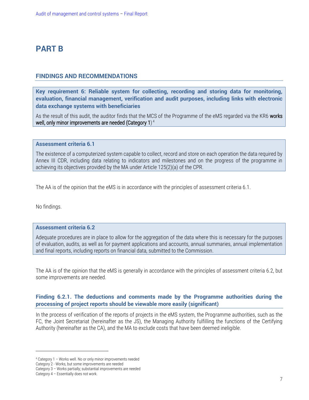# <span id="page-6-1"></span>**PART B**

#### <span id="page-6-2"></span>**FINDINGS AND RECOMMENDATIONS**

**Key requirement 6: Reliable system for collecting, recording and storing data for monitoring, evaluation, financial management, verification and audit purposes, including links with electronic data exchange systems with beneficiaries**

As the result of this audit, the auditor finds that the MCS of the Programme of the eMS regarded via the KR6 works well, only minor improvements are needed (Category 1) $^4$ 

**Assessment criteria 6.1**

The existence of a computerized system capable to collect, record and store on each operation the data required by Annex III CDR, including data relating to indicators and milestones and on the progress of the programme in achieving its objectives provided by the MA under Article 125(2)(a) of the CPR.

The AA is of the opinion that the eMS is in accordance with the principles of assessment criteria 6.1.

No findings.

#### **Assessment criteria 6.2**

Adequate procedures are in place to allow for the aggregation of the data where this is necessary for the purposes of evaluation, audits, as well as for payment applications and accounts, annual summaries, annual implementation and final reports, including reports on financial data, submitted to the Commission.

The AA is of the opinion that the eMS is generally in accordance with the principles of assessment criteria 6.2, but some improvements are needed.

#### <span id="page-6-0"></span>**Finding 6.2.1. The deductions and comments made by the Programme authorities during the processing of project reports should be viewable more easily (significant)**

In the process of verification of the reports of projects in the eMS system, the Programme authorities, such as the FC, the Joint Secretariat (hereinafter as the JS), the Managing Authority fulfilling the functions of the Certifying Authority (hereinafter as the CA), and the MA to exclude costs that have been deemed ineligible.

 $\overline{a}$ 

<sup>4</sup> Category 1 – Works well. No or only minor improvements needed

Category 2 - Works, but some improvements are needed

Category 3 – Works partially; substantial improvements are needed

Category 4 – Essentially does not work.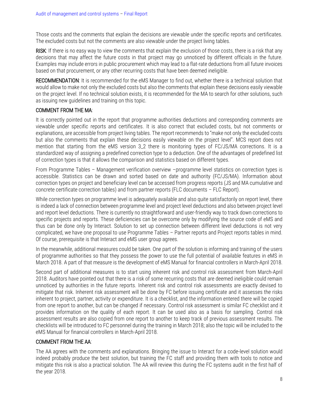Those costs and the comments that explain the decisions are viewable under the specific reports and certificates. The excluded costs but not the comments are also viewable under the project living tables.

RISK: If there is no easy way to view the comments that explain the exclusion of those costs, there is a risk that any decisions that may affect the future costs in that project may go unnoticed by different officials in the future. Examples may include errors in public procurement which may lead to a flat-rate deductions from all future invoices based on that procurement, or any other recurring costs that have been deemed ineligible.

RECOMMENDATION: It is recommended for the eMS Manager to find out, whether there is a technical solution that would allow to make not only the excluded costs but also the comments that explain these decisions easily viewable on the project level. If no technical solution exists, it is recommended for the MA to search for other solutions, such as issuing new guidelines and training on this topic.

#### COMMENT FROM THE MA:

It is correctly pointed out in the report that programme authorities deductions and corresponding comments are viewable under specific reports and certificates. It is also correct that excluded costs, but not comments or explanations, are accessible from project living tables. The report recommends to "make not only the excluded costs but also the comments that explain these decisions easily viewable on the project level". MCS report does not mention that starting from the eMS version 3\_2 there is monitoring types of FC/JS/MA corrections. It is a standardized way of assigning a predefined correction type to a deduction. One of the advantages of predefined list of correction types is that it allows the comparison and statistics based on different types.

From Programme Tables – Management verification overview –programme level statistics on correction types is accessible. Statistics can be drawn and sorted based on date and authority (FC/JS/MA). Information about correction types on project and beneficiary level can be accessed from progress reports (JS and MA cumulative and concrete certificate correction tables) and from partner reports (FLC documents – FLC Report).

While correction types on programme level is adequately available and also quite satisfactorily on report level, there is indeed a lack of connection between programme level and project level deductions and also between project level and report level deductions. There is currently no straightforward and user-friendly way to track down corrections to specific projects and reports. These deficiencies can be overcome only by modifying the source code of eMS and thus can be done only by Interact. Solution to set up connection between different level deductions is not very complicated, we have one proposal to use Programme Tables – Partner reports and Project reports tables in mind. Of course, prerequisite is that Interact and eMS user group agrees.

In the meanwhile, additional measures could be taken. One part of the solution is informing and training of the users of programme authorities so that they possess the power to use the full potential of available features in eMS in March 2018. A part of that measure is the development of eMS Manual for financial controllers in March-April 2018.

Second part of additional measures is to start using inherent risk and control risk assessment from March-April 2018. Auditors have pointed out that there is a risk of some recurring costs that are deemed ineligible could remain unnoticed by authorities in the future reports. Inherent risk and control risk assessments are exactly devised to mitigate that risk. Inherent risk assessment will be done by FC before issuing certificate and it assesses the risks inherent to project, partner, activity or expenditure. It is a checklist, and the information entered there will be copied from one report to another, but can be changed if necessary. Control risk assessment is similar FC checklist and it provides information on the quality of each report. It can be used also as a basis for sampling. Control risk assessment results are also copied from one report to another to keep track of previous assessment results. The checklists will be introduced to FC personnel during the training in March 2018; also the topic will be included to the eMS Manual for financial controllers in March-April 2018.

#### COMMENT FROM THE AA:

The AA agrees with the comments and explanations. Bringing the issue to Interact for a code-level solution would indeed probably produce the best solution, but training the FC staff and providing them with tools to notice and mitigate this risk is also a practical solution. The AA will review this during the FC systems audit in the first half of the year 2018.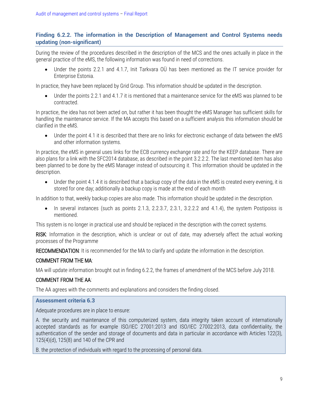#### <span id="page-8-0"></span>**Finding 6.2.2. The information in the Description of Management and Control Systems needs updating (non-significant)**

During the review of the procedures described in the description of the MCS and the ones actually in place in the general practice of the eMS, the following information was found in need of corrections.

 Under the points 2.2.1 and 4.1.7, Init Tarkvara OÜ has been mentioned as the IT service provider for Enterprise Estonia.

In practice, they have been replaced by Grid Group. This information should be updated in the description.

 Under the points 2.2.1 and 4.1.7 it is mentioned that a maintenance service for the eMS was planned to be contracted.

In practice, the idea has not been acted on, but rather it has been thought the eMS Manager has sufficient skills for handling the maintenance service. If the MA accepts this based on a sufficient analysis this information should be clarified in the eMS.

 Under the point 4.1 it is described that there are no links for electronic exchange of data between the eMS and other information systems.

In practice, the eMS in general uses links for the ECB currency exchange rate and for the KEEP database. There are also plans for a link with the SFC2014 database, as described in the point 3.2.2.2. The last mentioned item has also been planned to be done by the eMS Manager instead of outsourcing it. This information should be updated in the description.

 Under the point 4.1.4 it is described that a backup copy of the data in the eMS is created every evening, it is stored for one day; additionally a backup copy is made at the end of each month

In addition to that, weekly backup copies are also made. This information should be updated in the description.

 In several instances (such as points 2.1.3, 2.2.3.7, 2.3.1, 3.2.2.2 and 4.1.4), the system Postipoiss is mentioned.

This system is no longer in practical use and should be replaced in the description with the correct systems.

RISK: Information in the description, which is unclear or out of date, may adversely affect the actual working processes of the Programme

RECOMMENDATION: It is recommended for the MA to clarify and update the information in the description.

#### COMMENT FROM THE MA:

MA will update information brought out in finding 6.2.2, the frames of amendment of the MCS before July 2018.

#### COMMENT FROM THE AA:

The AA agrees with the comments and explanations and considers the finding closed.

#### **Assessment criteria 6.3**

Adequate procedures are in place to ensure:

A. the security and maintenance of this computerized system, data integrity taken account of internationally accepted standards as for example ISO/IEC 27001:2013 and ISO/IEC 27002:2013, data confidentiality, the authentication of the sender and storage of documents and data in particular in accordance with Articles 122(3), 125(4)(d), 125(8) and 140 of the CPR and

B. the protection of individuals with regard to the processing of personal data.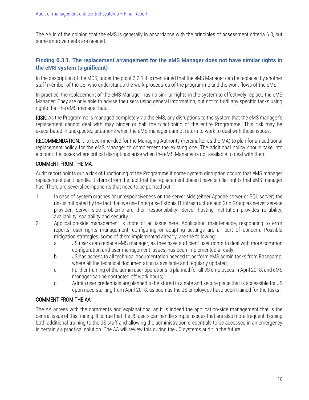The AA is of the opinion that the eMS is generally in accordance with the principles of assessment criteria 6.3, but some improvements are needed.

#### <span id="page-9-0"></span>**Finding 6.3.1. The replacement arrangement for the eMS Manager does not have similar rights in the eMS system (significant)**

In the description of the MCS, under the point 2.2.1 it is mentioned that the eMS Manager can be replaced by another staff member of the JS, who understands the work procedures of the programme and the work flows of the eMS.

In practice, the replacement of the eMS Manager has no similar rights in the system to effectively replace the eMS Manager. They are only able to advise the users using general information, but not to fulfil any specific tasks using rights that the eMS manager has.

RISK: As the Programme is managed completely via the eMS, any disruptions to the system that the eMS manager's replacement cannot deal with may hinder or halt the functioning of the entire Programme. This risk may be exacerbated in unexpected situations when the eMS manager cannot return to work to deal with those issues.

RECOMMENDATION: It is recommended for the Managing Authority (hereinafter as the MA) to plan for an additional replacement policy for the eMS Manager to complement the existing one. The additional policy should take into account the cases where critical disruptions arise when the eMS Manager is not available to deal with them.

#### COMMENT FROM THE MA:

Audit report points out a risk of functioning of the Programme if some system disruption occurs that eMS manager replacement can't handle. It stems from the fact that the replacement doesn't have similar rights that eMS manager has. There are several components that need to be pointed out:

- 1. In case of system crashes or unresponsiveness on the server side (either Apache server or SQL server) the risk is mitigated by the fact that we use Enterprise Estonia IT infrastructure and Grid Group as server service provider. Server side problems are their responsibility. Server hosting institution provides reliability, availability, scalability and security.
- 2. Application-side management is more of an issue here. Application maintenance, responding to error reports, user rights management, configuring or adapting settings are all part of concern. Possible mitigation strategies, some of them implemented already, are the following:
	- a. JS users can replace eMS manager, as they have sufficient user rights to deal with more common configuration and user management issues, has been implemented already;
	- b. JS has access to all technical documentation needed to perform eMS admin tasks from Basecamp, where all the technical documentation is available and regularly updated;
	- c. Further training of the admin user operations is planned for all JS employees in April 2018; and eMS manager can be contacted off work hours;
	- d. Admin user credentials are planned to be stored in a safe and secure place that is accessible for JS upon need starting from April 2018, as soon as the JS employees have been trained for the tasks.

#### COMMENT FROM THE AA:

The AA agrees with the comments and explanations, as it is indeed the application-side management that is the central issue of this finding. It is true that the JS users can handle simpler issues that are also more frequent. Issuing both additional training to the JS staff and allowing the administration credentials to be accessed in an emergency is certainly a practical solution. The AA will review this during the JC systems audit in the future.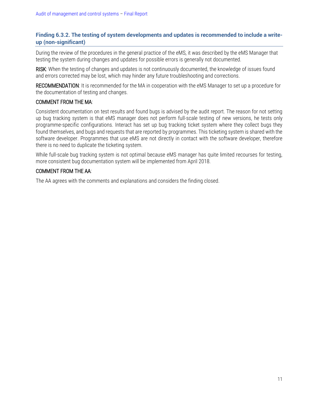#### <span id="page-10-0"></span>**Finding 6.3.2. The testing of system developments and updates is recommended to include a writeup (non-significant)**

During the review of the procedures in the general practice of the eMS, it was described by the eMS Manager that testing the system during changes and updates for possible errors is generally not documented.

RISK: When the testing of changes and updates is not continuously documented, the knowledge of issues found and errors corrected may be lost, which may hinder any future troubleshooting and corrections.

RECOMMENDATION: It is recommended for the MA in cooperation with the eMS Manager to set up a procedure for the documentation of testing and changes.

#### COMMENT FROM THE MA:

Consistent documentation on test results and found bugs is advised by the audit report. The reason for not setting up bug tracking system is that eMS manager does not perform full-scale testing of new versions, he tests only programme-specific configurations. Interact has set up bug tracking ticket system where they collect bugs they found themselves, and bugs and requests that are reported by programmes. This ticketing system is shared with the software developer. Programmes that use eMS are not directly in contact with the software developer, therefore there is no need to duplicate the ticketing system.

While full-scale bug tracking system is not optimal because eMS manager has quite limited recourses for testing, more consistent bug documentation system will be implemented from April 2018.

#### COMMENT FROM THE AA:

The AA agrees with the comments and explanations and considers the finding closed.